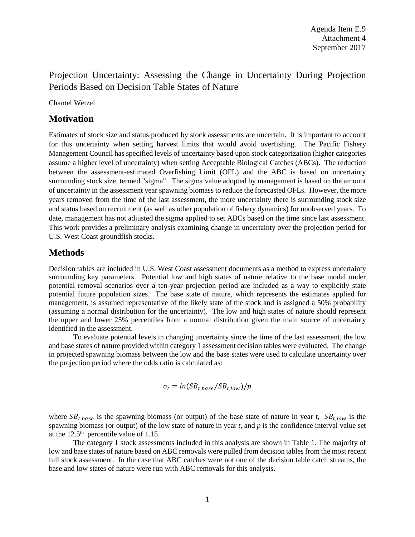## Projection Uncertainty: Assessing the Change in Uncertainty During Projection Periods Based on Decision Table States of Nature

Chantel Wetzel

### **Motivation**

Estimates of stock size and status produced by stock assessments are uncertain. It is important to account for this uncertainty when setting harvest limits that would avoid overfishing. The Pacific Fishery Management Council has specified levels of uncertainty based upon stock categorization (higher categories assume a higher level of uncertainty) when setting Acceptable Biological Catches (ABCs). The reduction between the assessment-estimated Overfishing Limit (OFL) and the ABC is based on uncertainty surrounding stock size, termed "sigma". The sigma value adopted by management is based on the amount of uncertainty in the assessment year spawning biomass to reduce the forecasted OFLs. However, the more years removed from the time of the last assessment, the more uncertainty there is surrounding stock size and status based on recruitment (as well as other population of fishery dynamics) for unobserved years. To date, management has not adjusted the sigma applied to set ABCs based on the time since last assessment. This work provides a preliminary analysis examining change in uncertainty over the projection period for U.S. West Coast groundfish stocks.

## **Methods**

Decision tables are included in U.S. West Coast assessment documents as a method to express uncertainty surrounding key parameters. Potential low and high states of nature relative to the base model under potential removal scenarios over a ten-year projection period are included as a way to explicitly state potential future population sizes. The base state of nature, which represents the estimates applied for management, is assumed representative of the likely state of the stock and is assigned a 50% probability (assuming a normal distribution for the uncertainty). The low and high states of nature should represent the upper and lower 25% percentiles from a normal distribution given the main source of uncertainty identified in the assessment.

To evaluate potential levels in changing uncertainty since the time of the last assessment, the low and base states of nature provided within category 1 assessment decision tables were evaluated. The change in projected spawning biomass between the low and the base states were used to calculate uncertainty over the projection period where the odds ratio is calculated as:

$$
\sigma_t = ln({SB}_{t,base}/{SB}_{t,low})/p
$$

where  $SB_{t,base}$  is the spawning biomass (or output) of the base state of nature in year *t*,  $SB_{t,low}$  is the spawning biomass (or output) of the low state of nature in year *t*, and *p* is the confidence interval value set at the  $12.5<sup>th</sup>$  percentile value of 1.15.

The category 1 stock assessments included in this analysis are shown in Table 1. The majority of low and base states of nature based on ABC removals were pulled from decision tables from the most recent full stock assessment. In the case that ABC catches were not one of the decision table catch streams, the base and low states of nature were run with ABC removals for this analysis.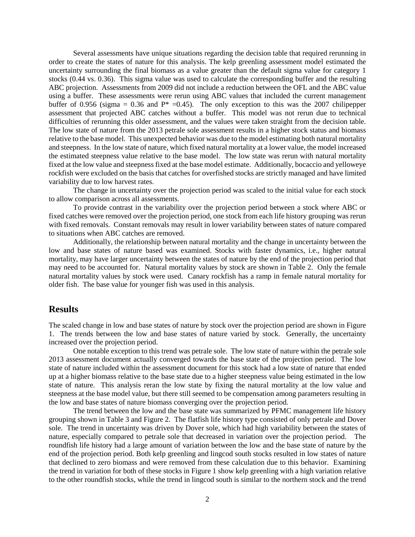Several assessments have unique situations regarding the decision table that required rerunning in order to create the states of nature for this analysis. The kelp greenling assessment model estimated the uncertainty surrounding the final biomass as a value greater than the default sigma value for category 1 stocks (0.44 vs. 0.36). This sigma value was used to calculate the corresponding buffer and the resulting ABC projection. Assessments from 2009 did not include a reduction between the OFL and the ABC value using a buffer. These assessments were rerun using ABC values that included the current management buffer of 0.956 (sigma = 0.36 and  $P^*$  =0.45). The only exception to this was the 2007 chilipepper assessment that projected ABC catches without a buffer. This model was not rerun due to technical difficulties of rerunning this older assessment, and the values were taken straight from the decision table. The low state of nature from the 2013 petrale sole assessment results in a higher stock status and biomass relative to the base model. This unexpected behavior was due to the model estimating both natural mortality and steepness. In the low state of nature, which fixed natural mortality at a lower value, the model increased the estimated steepness value relative to the base model. The low state was rerun with natural mortality fixed at the low value and steepness fixed at the base model estimate. Additionally, bocaccio and yelloweye rockfish were excluded on the basis that catches for overfished stocks are strictly managed and have limited variability due to low harvest rates.

The change in uncertainty over the projection period was scaled to the initial value for each stock to allow comparison across all assessments.

To provide contrast in the variability over the projection period between a stock where ABC or fixed catches were removed over the projection period, one stock from each life history grouping was rerun with fixed removals. Constant removals may result in lower variability between states of nature compared to situations when ABC catches are removed.

Additionally, the relationship between natural mortality and the change in uncertainty between the low and base states of nature based was examined. Stocks with faster dynamics, i.e., higher natural mortality, may have larger uncertainty between the states of nature by the end of the projection period that may need to be accounted for. Natural mortality values by stock are shown in Table 2. Only the female natural mortality values by stock were used. Canary rockfish has a ramp in female natural mortality for older fish. The base value for younger fish was used in this analysis.

### **Results**

The scaled change in low and base states of nature by stock over the projection period are shown in Figure 1. The trends between the low and base states of nature varied by stock. Generally, the uncertainty increased over the projection period.

One notable exception to this trend was petrale sole. The low state of nature within the petrale sole 2013 assessment document actually converged towards the base state of the projection period. The low state of nature included within the assessment document for this stock had a low state of nature that ended up at a higher biomass relative to the base state due to a higher steepness value being estimated in the low state of nature. This analysis reran the low state by fixing the natural mortality at the low value and steepness at the base model value, but there still seemed to be compensation among parameters resulting in the low and base states of nature biomass converging over the projection period.

The trend between the low and the base state was summarized by PFMC management life history grouping shown in Table 3 and Figure 2. The flatfish life history type consisted of only petrale and Dover sole. The trend in uncertainty was driven by Dover sole, which had high variability between the states of nature, especially compared to petrale sole that decreased in variation over the projection period. The roundfish life history had a large amount of variation between the low and the base state of nature by the end of the projection period. Both kelp greenling and lingcod south stocks resulted in low states of nature that declined to zero biomass and were removed from these calculation due to this behavior. Examining the trend in variation for both of these stocks in Figure 1 show kelp greenling with a high variation relative to the other roundfish stocks, while the trend in lingcod south is similar to the northern stock and the trend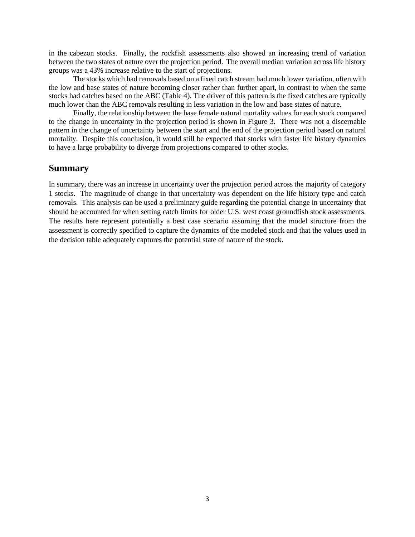in the cabezon stocks. Finally, the rockfish assessments also showed an increasing trend of variation between the two states of nature over the projection period. The overall median variation across life history groups was a 43% increase relative to the start of projections.

The stocks which had removals based on a fixed catch stream had much lower variation, often with the low and base states of nature becoming closer rather than further apart, in contrast to when the same stocks had catches based on the ABC (Table 4). The driver of this pattern is the fixed catches are typically much lower than the ABC removals resulting in less variation in the low and base states of nature.

Finally, the relationship between the base female natural mortality values for each stock compared to the change in uncertainty in the projection period is shown in Figure 3. There was not a discernable pattern in the change of uncertainty between the start and the end of the projection period based on natural mortality. Despite this conclusion, it would still be expected that stocks with faster life history dynamics to have a large probability to diverge from projections compared to other stocks.

#### **Summary**

In summary, there was an increase in uncertainty over the projection period across the majority of category 1 stocks. The magnitude of change in that uncertainty was dependent on the life history type and catch removals. This analysis can be used a preliminary guide regarding the potential change in uncertainty that should be accounted for when setting catch limits for older U.S. west coast groundfish stock assessments. The results here represent potentially a best case scenario assuming that the model structure from the assessment is correctly specified to capture the dynamics of the modeled stock and that the values used in the decision table adequately captures the potential state of nature of the stock.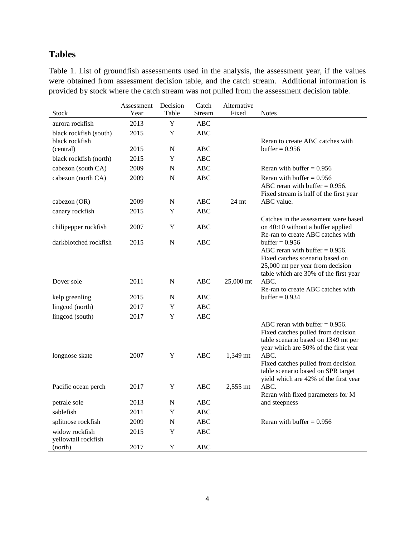# **Tables**

Table 1. List of groundfish assessments used in the analysis, the assessment year, if the values were obtained from assessment decision table, and the catch stream. Additional information is provided by stock where the catch stream was not pulled from the assessment decision table.

|                                       | Assessment | Decision    | Catch      | Alternative |                                                                             |
|---------------------------------------|------------|-------------|------------|-------------|-----------------------------------------------------------------------------|
| Stock                                 | Year       | Table       | Stream     | Fixed       | <b>Notes</b>                                                                |
| aurora rockfish                       | 2013       | $\mathbf Y$ | <b>ABC</b> |             |                                                                             |
| black rockfish (south)                | 2015       | Y           | ABC        |             |                                                                             |
| black rockfish                        |            |             |            |             | Reran to create ABC catches with                                            |
| (central)                             | 2015       | N           | <b>ABC</b> |             | buffer = $0.956$                                                            |
| black rockfish (north)                | 2015       | Y           | <b>ABC</b> |             |                                                                             |
| cabezon (south CA)                    | 2009       | N           | <b>ABC</b> |             | Reran with buffer $= 0.956$                                                 |
| cabezon (north CA)                    | 2009       | N           | <b>ABC</b> |             | Reran with buffer $= 0.956$                                                 |
|                                       |            |             |            |             | ABC reran with buffer $= 0.956$ .                                           |
| cabezon (OR)                          | 2009       | N           | <b>ABC</b> | $24$ mt     | Fixed stream is half of the first year<br>ABC value.                        |
| canary rockfish                       | 2015       | Y           | ABC        |             |                                                                             |
|                                       |            |             |            |             | Catches in the assessment were based                                        |
| chilipepper rockfish                  | 2007       | Y           | ABC        |             | on 40:10 without a buffer applied                                           |
|                                       |            |             |            |             | Re-ran to create ABC catches with                                           |
| darkblotched rockfish                 | 2015       | N           | <b>ABC</b> |             | buffer $= 0.956$                                                            |
|                                       |            |             |            |             | ABC reran with buffer $= 0.956$ .                                           |
|                                       |            |             |            |             | Fixed catches scenario based on<br>25,000 mt per year from decision         |
|                                       |            |             |            |             | table which are 30% of the first year                                       |
| Dover sole                            | 2011       | N           | <b>ABC</b> | 25,000 mt   | ABC.                                                                        |
|                                       |            |             |            |             | Re-ran to create ABC catches with                                           |
| kelp greenling                        | 2015       | N           | <b>ABC</b> |             | buffer $= 0.934$                                                            |
| lingcod (north)                       | 2017       | Y           | <b>ABC</b> |             |                                                                             |
| lingcod (south)                       | 2017       | Y           | ABC        |             |                                                                             |
|                                       |            |             |            |             | ABC reran with buffer $= 0.956$ .                                           |
|                                       |            |             |            |             | Fixed catches pulled from decision                                          |
|                                       |            |             |            |             | table scenario based on 1349 mt per<br>year which are 50% of the first year |
| longnose skate                        | 2007       | Y           | <b>ABC</b> | 1,349 mt    | ABC.                                                                        |
|                                       |            |             |            |             | Fixed catches pulled from decision                                          |
|                                       |            |             |            |             | table scenario based on SPR target                                          |
|                                       |            |             |            |             | yield which are 42% of the first year                                       |
| Pacific ocean perch                   | 2017       | Y           | ABC        | $2,555$ mt  | ABC.                                                                        |
| petrale sole                          | 2013       | N           | ABC        |             | Reran with fixed parameters for M<br>and steepness                          |
| sablefish                             | 2011       | Y           | <b>ABC</b> |             |                                                                             |
|                                       |            |             |            |             | Reran with buffer $= 0.956$                                                 |
| splitnose rockfish                    | 2009       | N           | <b>ABC</b> |             |                                                                             |
| widow rockfish<br>yellowtail rockfish | 2015       | Y           | <b>ABC</b> |             |                                                                             |
| (north)                               | 2017       | Y           | <b>ABC</b> |             |                                                                             |
|                                       |            |             |            |             |                                                                             |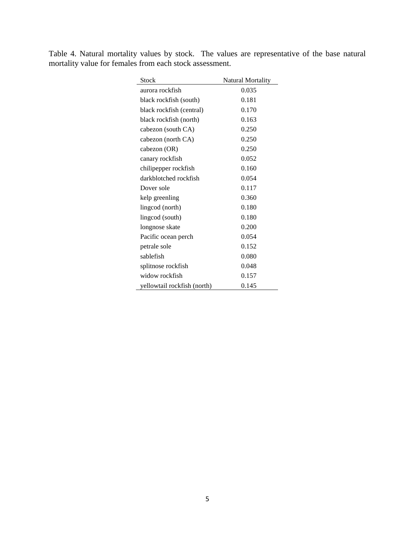Table 4. Natural mortality values by stock. The values are representative of the base natural mortality value for females from each stock assessment.

| <b>Stock</b>                | <b>Natural Mortality</b> |
|-----------------------------|--------------------------|
| aurora rockfish             | 0.035                    |
| black rockfish (south)      | 0.181                    |
| black rockfish (central)    | 0.170                    |
| black rockfish (north)      | 0.163                    |
| cabezon (south CA)          | 0.250                    |
| cabezon (north CA)          | 0.250                    |
| cabezon (OR)                | 0.250                    |
| canary rockfish             | 0.052                    |
| chilipepper rockfish        | 0.160                    |
| darkblotched rockfish       | 0.054                    |
| Dover sole                  | 0.117                    |
| kelp greenling              | 0.360                    |
| lingcod (north)             | 0.180                    |
| lingcod (south)             | 0.180                    |
| longnose skate              | 0.200                    |
| Pacific ocean perch         | 0.054                    |
| petrale sole                | 0.152                    |
| sablefish                   | 0.080                    |
| splitnose rockfish          | 0.048                    |
| widow rockfish              | 0.157                    |
| yellowtail rockfish (north) | 0.145                    |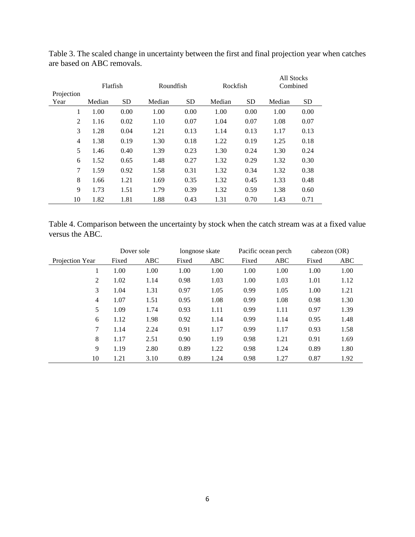| Projection     | Flatfish |           | Roundfish |           | Rockfish |           | All Stocks<br>Combined |           |
|----------------|----------|-----------|-----------|-----------|----------|-----------|------------------------|-----------|
| Year           | Median   | <b>SD</b> | Median    | <b>SD</b> | Median   | <b>SD</b> | Median                 | <b>SD</b> |
| 1              | 1.00     | 0.00      | 1.00      | 0.00      | 1.00     | 0.00      | 1.00                   | 0.00      |
| $\overline{2}$ | 1.16     | 0.02      | 1.10      | 0.07      | 1.04     | 0.07      | 1.08                   | 0.07      |
| 3              | 1.28     | 0.04      | 1.21      | 0.13      | 1.14     | 0.13      | 1.17                   | 0.13      |
| 4              | 1.38     | 0.19      | 1.30      | 0.18      | 1.22     | 0.19      | 1.25                   | 0.18      |
| 5              | 1.46     | 0.40      | 1.39      | 0.23      | 1.30     | 0.24      | 1.30                   | 0.24      |
| 6              | 1.52     | 0.65      | 1.48      | 0.27      | 1.32     | 0.29      | 1.32                   | 0.30      |
| 7              | 1.59     | 0.92      | 1.58      | 0.31      | 1.32     | 0.34      | 1.32                   | 0.38      |
| 8              | 1.66     | 1.21      | 1.69      | 0.35      | 1.32     | 0.45      | 1.33                   | 0.48      |
| 9              | 1.73     | 1.51      | 1.79      | 0.39      | 1.32     | 0.59      | 1.38                   | 0.60      |
| 10             | 1.82     | 1.81      | 1.88      | 0.43      | 1.31     | 0.70      | 1.43                   | 0.71      |

Table 3. The scaled change in uncertainty between the first and final projection year when catches are based on ABC removals.

Table 4. Comparison between the uncertainty by stock when the catch stream was at a fixed value versus the ABC.

|                 | Dover sole |      | longnose skate |      | Pacific ocean perch |            | cabezon $(OR)$ |      |
|-----------------|------------|------|----------------|------|---------------------|------------|----------------|------|
| Projection Year | Fixed      | ABC  | Fixed          | ABC  | Fixed               | <b>ABC</b> | Fixed          | ABC  |
|                 | 1.00       | 1.00 | 1.00           | 1.00 | 1.00                | 1.00       | 1.00           | 1.00 |
| 2               | 1.02       | 1.14 | 0.98           | 1.03 | 1.00                | 1.03       | 1.01           | 1.12 |
| 3               | 1.04       | 1.31 | 0.97           | 1.05 | 0.99                | 1.05       | 1.00           | 1.21 |
| $\overline{4}$  | 1.07       | 1.51 | 0.95           | 1.08 | 0.99                | 1.08       | 0.98           | 1.30 |
| 5               | 1.09       | 1.74 | 0.93           | 1.11 | 0.99                | 1.11       | 0.97           | 1.39 |
| 6               | 1.12       | 1.98 | 0.92           | 1.14 | 0.99                | 1.14       | 0.95           | 1.48 |
| 7               | 1.14       | 2.24 | 0.91           | 1.17 | 0.99                | 1.17       | 0.93           | 1.58 |
| 8               | 1.17       | 2.51 | 0.90           | 1.19 | 0.98                | 1.21       | 0.91           | 1.69 |
| 9               | 1.19       | 2.80 | 0.89           | 1.22 | 0.98                | 1.24       | 0.89           | 1.80 |
| 10              | 1.21       | 3.10 | 0.89           | 1.24 | 0.98                | 1.27       | 0.87           | 1.92 |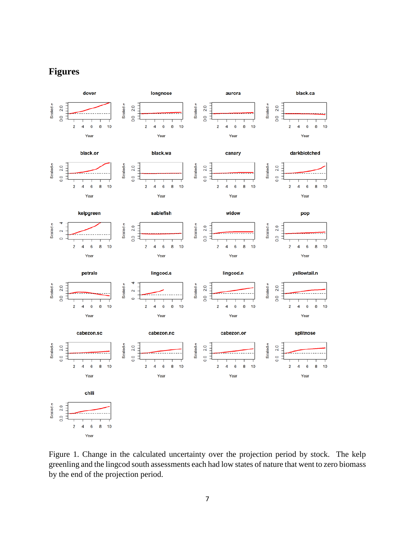## **Figures**



Figure 1. Change in the calculated uncertainty over the projection period by stock. The kelp greenling and the lingcod south assessments each had low states of nature that went to zero biomass by the end of the projection period.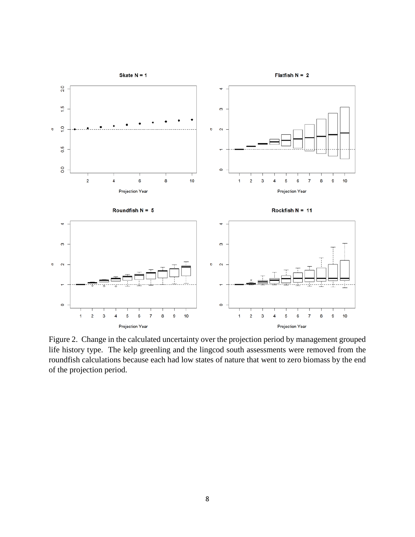

Figure 2. Change in the calculated uncertainty over the projection period by management grouped life history type. The kelp greenling and the lingcod south assessments were removed from the roundfish calculations because each had low states of nature that went to zero biomass by the end of the projection period.